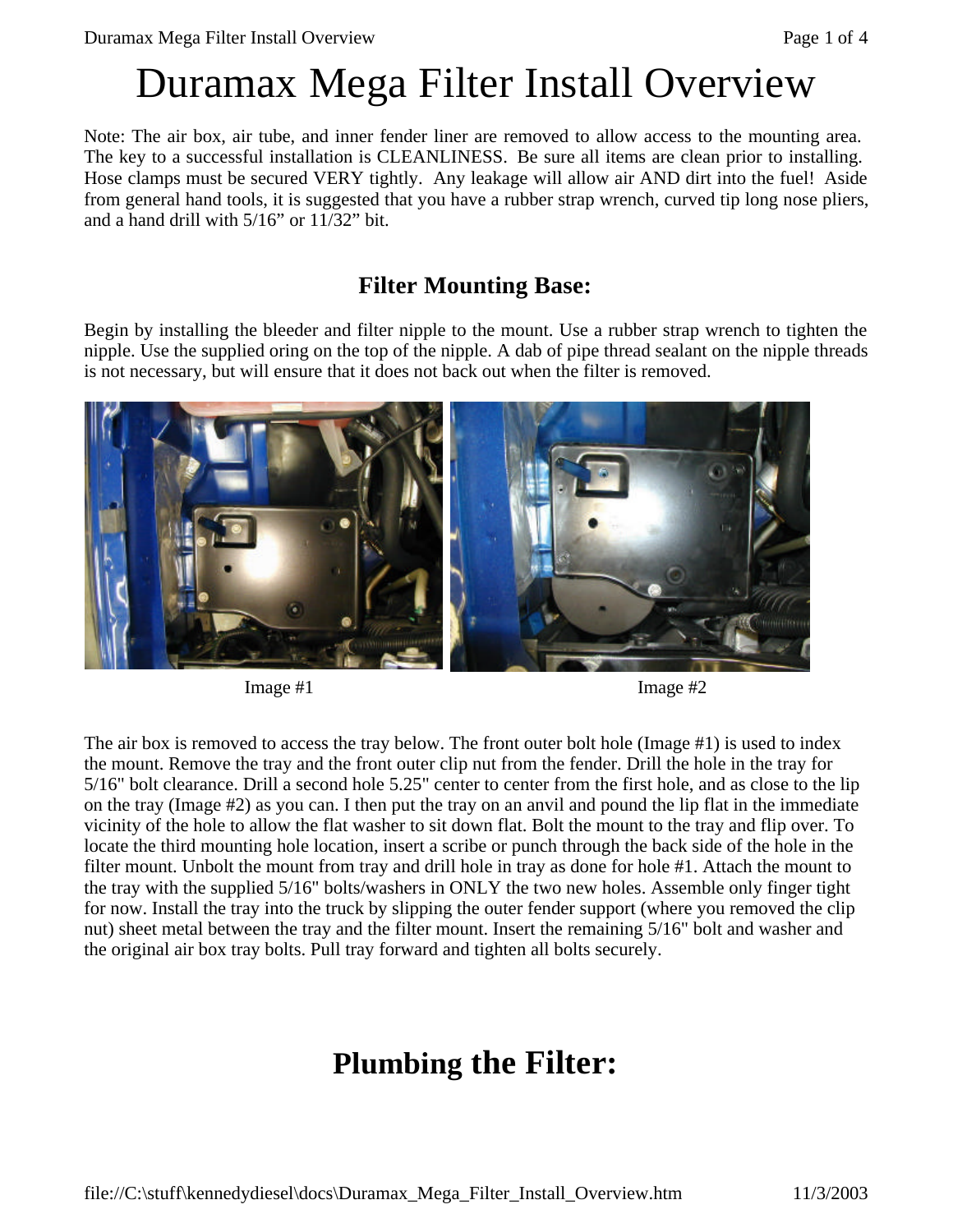# Duramax Mega Filter Install Overview

Note: The air box, air tube, and inner fender liner are removed to allow access to the mounting area. The key to a successful installation is CLEANLINESS. Be sure all items are clean prior to installing. Hose clamps must be secured VERY tightly. Any leakage will allow air AND dirt into the fuel! Aside from general hand tools, it is suggested that you have a rubber strap wrench, curved tip long nose pliers, and a hand drill with 5/16" or 11/32" bit.

#### **Filter Mounting Base:**

Begin by installing the bleeder and filter nipple to the mount. Use a rubber strap wrench to tighten the nipple. Use the supplied oring on the top of the nipple. A dab of pipe thread sealant on the nipple threads is not necessary, but will ensure that it does not back out when the filter is removed.



 $\text{Image } \#1$  Image  $\#2$ 

The air box is removed to access the tray below. The front outer bolt hole (Image #1) is used to index the mount. Remove the tray and the front outer clip nut from the fender. Drill the hole in the tray for 5/16" bolt clearance. Drill a second hole 5.25" center to center from the first hole, and as close to the lip on the tray (Image #2) as you can. I then put the tray on an anvil and pound the lip flat in the immediate vicinity of the hole to allow the flat washer to sit down flat. Bolt the mount to the tray and flip over. To locate the third mounting hole location, insert a scribe or punch through the back side of the hole in the filter mount. Unbolt the mount from tray and drill hole in tray as done for hole #1. Attach the mount to the tray with the supplied 5/16" bolts/washers in ONLY the two new holes. Assemble only finger tight for now. Install the tray into the truck by slipping the outer fender support (where you removed the clip nut) sheet metal between the tray and the filter mount. Insert the remaining 5/16" bolt and washer and the original air box tray bolts. Pull tray forward and tighten all bolts securely.

# **Plumbing the Filter:**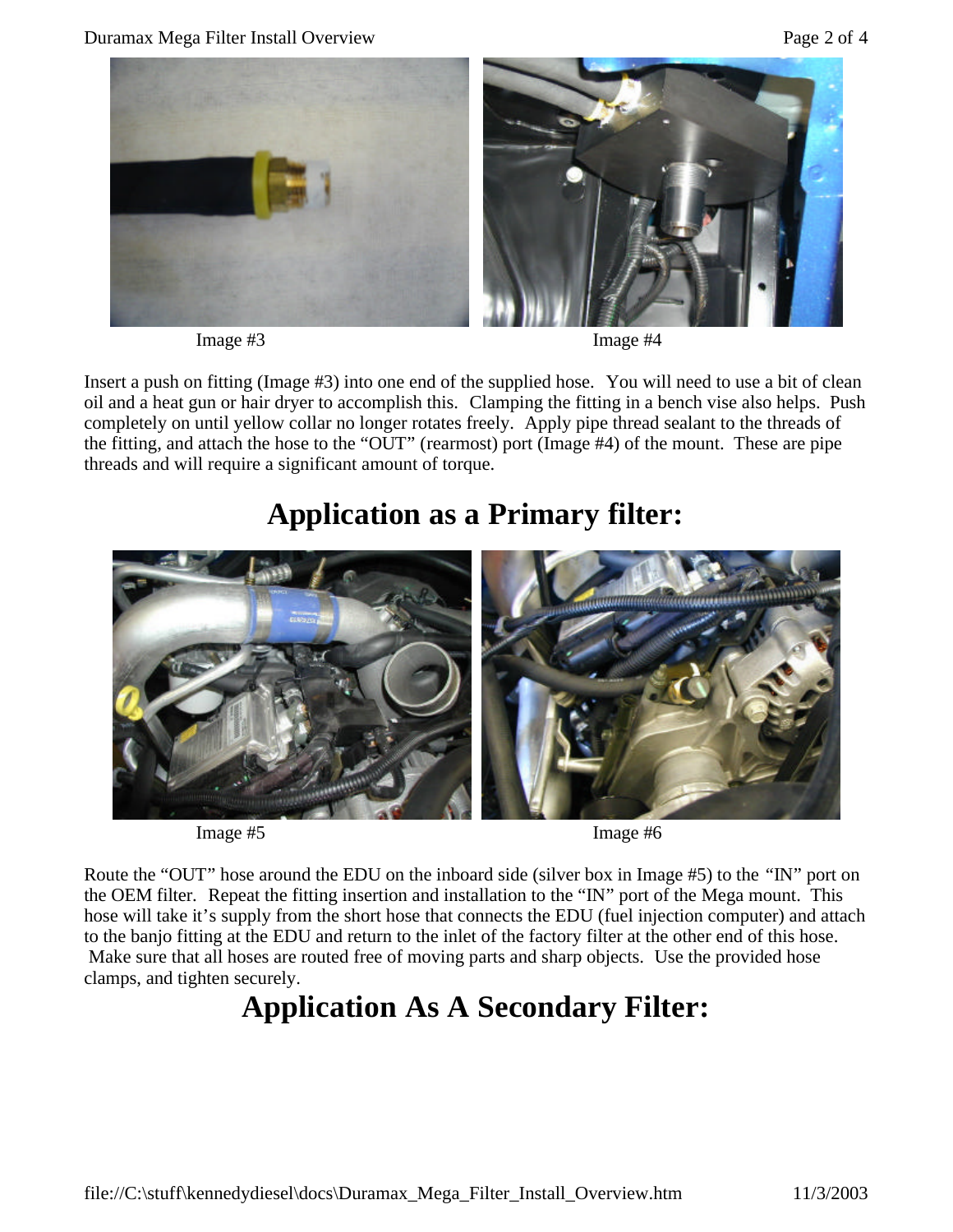

Image #3 Image #4

Insert a push on fitting (Image #3) into one end of the supplied hose. You will need to use a bit of clean oil and a heat gun or hair dryer to accomplish this. Clamping the fitting in a bench vise also helps. Push completely on until yellow collar no longer rotates freely. Apply pipe thread sealant to the threads of the fitting, and attach the hose to the "OUT" (rearmost) port (Image #4) of the mount. These are pipe threads and will require a significant amount of torque.

### **Application as a Primary filter:**



Image #5 Image #6

Route the "OUT" hose around the EDU on the inboard side (silver box in Image #5) to the "IN" port on the OEM filter. Repeat the fitting insertion and installation to the "IN" port of the Mega mount. This hose will take it's supply from the short hose that connects the EDU (fuel injection computer) and attach to the banjo fitting at the EDU and return to the inlet of the factory filter at the other end of this hose. Make sure that all hoses are routed free of moving parts and sharp objects. Use the provided hose clamps, and tighten securely.

## **Application As A Secondary Filter:**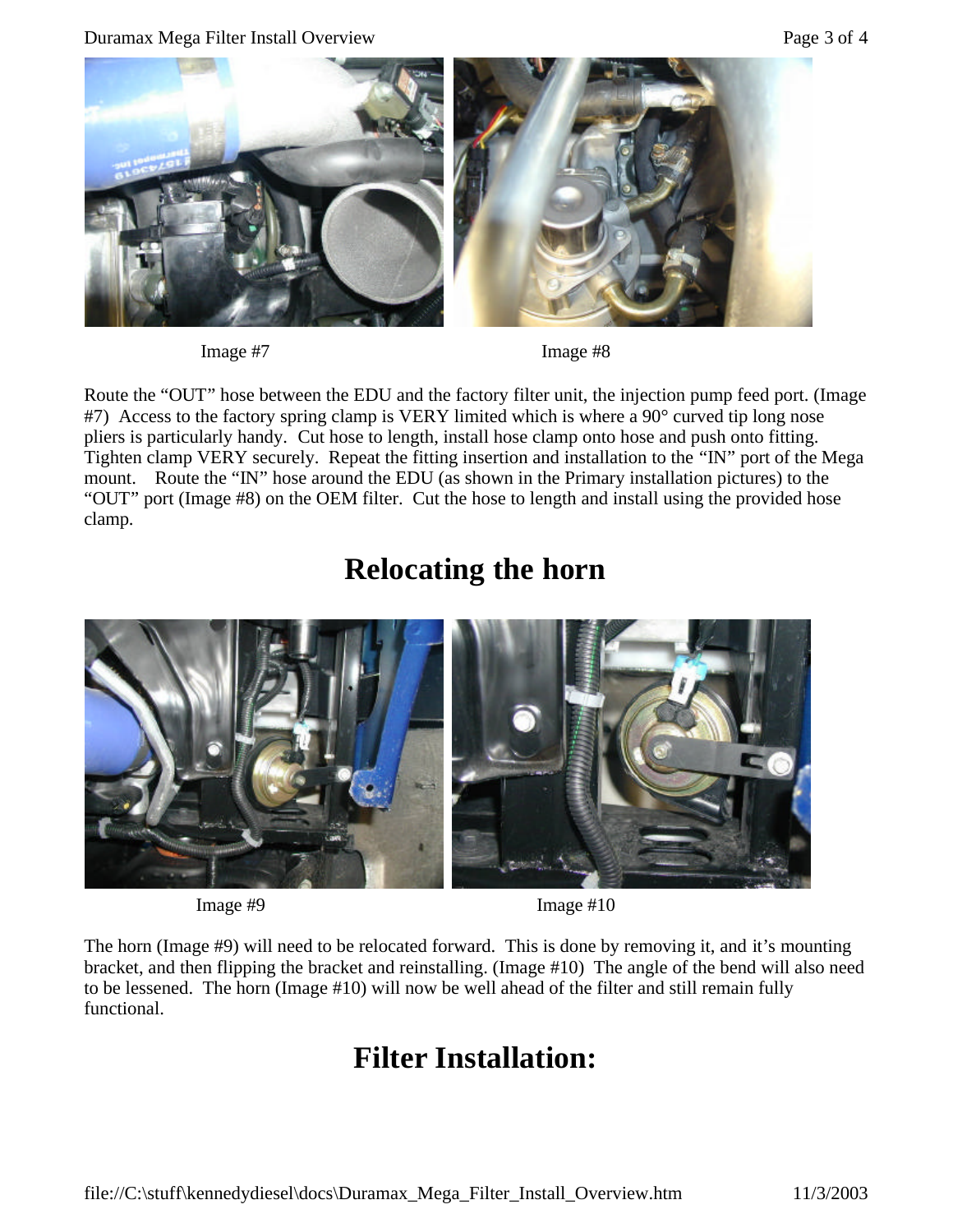Duramax Mega Filter Install Overview Page 3 of 4



Image #7 Image #8

Route the "OUT" hose between the EDU and the factory filter unit, the injection pump feed port. (Image #7) Access to the factory spring clamp is VERY limited which is where a 90° curved tip long nose pliers is particularly handy. Cut hose to length, install hose clamp onto hose and push onto fitting. Tighten clamp VERY securely. Repeat the fitting insertion and installation to the "IN" port of the Mega mount. Route the "IN" hose around the EDU (as shown in the Primary installation pictures) to the "OUT" port (Image #8) on the OEM filter. Cut the hose to length and install using the provided hose clamp.

### **Relocating the horn**



Image #9 Image #10

The horn (Image #9) will need to be relocated forward. This is done by removing it, and it's mounting bracket, and then flipping the bracket and reinstalling. (Image #10) The angle of the bend will also need to be lessened. The horn (Image #10) will now be well ahead of the filter and still remain fully functional.

# **Filter Installation:**